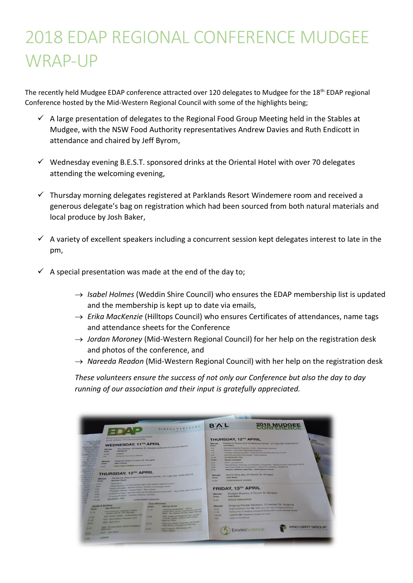## 2018 EDAP REGIONAL CONFERENCE MUDGEE WRAP-UP

The recently held Mudgee EDAP conference attracted over 120 delegates to Mudgee for the 18<sup>th</sup> EDAP regional Conference hosted by the Mid-Western Regional Council with some of the highlights being;

- $\checkmark$  A large presentation of delegates to the Regional Food Group Meeting held in the Stables at Mudgee, with the NSW Food Authority representatives Andrew Davies and Ruth Endicott in attendance and chaired by Jeff Byrom,
- $\checkmark$  Wednesday evening B.E.S.T. sponsored drinks at the Oriental Hotel with over 70 delegates attending the welcoming evening,
- ✓ Thursday morning delegates registered at Parklands Resort Windemere room and received a generous delegate's bag on registration which had been sourced from both natural materials and local produce by Josh Baker,
- $\checkmark$  A variety of excellent speakers including a concurrent session kept delegates interest to late in the pm,
- $\checkmark$  A special presentation was made at the end of the day to;
	- → *Isabel Holmes* (Weddin Shire Council) who ensures the EDAP membership list is updated and the membership is kept up to date via emails,
	- → *Erika MacKenzie* (Hilltops Council) who ensures Certificates of attendances, name tags and attendance sheets for the Conference
	- → *Jordan Moroney* (Mid-Western Regional Council) for her help on the registration desk and photos of the conference, and
	- → *Nareeda Readon* (Mid-Western Regional Council) with her help on the registration desk

*These volunteers ensure the success of not only our Conference but also the day to day running of our association and their input is gratefully appreciated.*

| PIKES & VEREKERS<br>LAWVERS                                                                                                                                                                                                                                                                                                                                                                                                                                                                                                                                                                                                                                                                                                                                                                                                                                                                                                                                                                                                                                                                                                                                                                                                                                                                                                                                                                                                                                                                                                                                                                                                                                                                                    | 2018 MUDGEE<br><b>BYL</b>                                                                                                                                                                                                                                                                                                                                                                                                                                                                                                                                                                                                                                                                                                                                                                                                                                                                                                                                                                                                                                                                                                                                                                                    |
|----------------------------------------------------------------------------------------------------------------------------------------------------------------------------------------------------------------------------------------------------------------------------------------------------------------------------------------------------------------------------------------------------------------------------------------------------------------------------------------------------------------------------------------------------------------------------------------------------------------------------------------------------------------------------------------------------------------------------------------------------------------------------------------------------------------------------------------------------------------------------------------------------------------------------------------------------------------------------------------------------------------------------------------------------------------------------------------------------------------------------------------------------------------------------------------------------------------------------------------------------------------------------------------------------------------------------------------------------------------------------------------------------------------------------------------------------------------------------------------------------------------------------------------------------------------------------------------------------------------------------------------------------------------------------------------------------------------|--------------------------------------------------------------------------------------------------------------------------------------------------------------------------------------------------------------------------------------------------------------------------------------------------------------------------------------------------------------------------------------------------------------------------------------------------------------------------------------------------------------------------------------------------------------------------------------------------------------------------------------------------------------------------------------------------------------------------------------------------------------------------------------------------------------------------------------------------------------------------------------------------------------------------------------------------------------------------------------------------------------------------------------------------------------------------------------------------------------------------------------------------------------------------------------------------------------|
| Environmental Development<br>and Allied Professionals<br><b>Marie Trail Par</b><br><b>PARK VEIERA</b><br><b>WEDNESDAY, 11TH APRIL</b><br><b>RESIL</b><br>The Stables, 66 Market St, Mudgee (educant to Council Admin)<br><b>STEAM PIERS</b><br><b>Allianced Mary 4</b><br><b><i><u><i><u>VANTEROLT</u></i></u></i></b><br>Farmers Sherwick<br><b>Jeff Barniet</b><br><b>Charles</b><br><b>Cours variation</b><br><b>Links</b> at<br><b>CALIFORNIA</b><br><b><i><u>Monthements</u></i></b><br>Clarificant Fyest Groups Married<br><b>Burnie Rileyton</b><br>Kaw.<br><b>AALLINGS</b><br><b>APLIANSER</b><br>Cinemal Hotel, 6 Lewis St, Muckyee<br><b>Education</b><br><b>COLOR SHOPS AN</b><br><b>Alan Lindsay</b><br><b>Chair</b><br><b>THE REAL PROPERTY</b><br>WWE ELONGE EXCHANGE ADDRESSED BY EXCEPT<br>and Response.<br><b>MANE</b><br><b>MARKET</b><br><b>A A A F SPACES</b><br><b>BAS SPICE LA</b><br>THURSDAY, 12TH APRIL<br><b>Long Advise</b><br>Parklands Hesset and Conference Centre, 121 Ulan Rd, Putta Bucca<br>and Share Kin<br>the bring<br><b>MOVED AND</b><br><b>HOWARD</b><br><b>Branchart Hayers</b><br><b>Citizen</b><br>of Action<br><b>Programmers</b><br>1,410,000<br>Chlorat Ocentray - Cl One Kerrowth Macon, Mic Western People's Council<br>439.<br><b>Honda</b><br>Allenton of Municipal - Photogram Ellistown, Architech and Harthage Automo-<br>4.49<br><b>MAKE</b><br><b>WANT</b><br>14. District World, and what might be the high-above to Pura Schot, then white holds Chall Premier<br>$\overline{\phantom{a}}$<br>ÿ<br><b>Window</b><br><b>NEW</b><br>TA County Printing": Carmely Archives, Automo-<br>10.30<br><b>Military Park</b><br>- CONCLEMENT ASSISTANT<br>49,450 | THURSDAY, 12TH APRIL<br><b>Continental</b><br>Parklands Resort and Conference Centre, 121 Ulan Rd, Putta Bucca<br><b>Workeet</b><br>Josh Baker<br><b>Chair</b><br>Photography Building Probables in 1014 - Silks Dealers, Newsale's<br><b>STAR</b><br>Aubentine   Autor Cutty, People'se Environmental<br>18,200<br>35,567<br>"Woolkers" Building Dunasyie's / Steve Konverse Nua Mountains City Council<br>Light & Emissionand Court United - Plan & Veneral<br>3.00<br><b>AFTERNOON TEA</b><br><b>SUMM</b><br><b>Skewers Campbell</b><br><b>Chuster</b><br><b>CATH, I light Find artistic</b><br><b>SAN</b><br>Fine Electronic Changrey and Hagilettey Imagination / Shipley Poultar, Cubar Street Council.<br>4.55<br>Fasce Public Headth Act & Regulations / Genetic Van Yashobonn, WRISWA HD<br>4,441<br>ANNUAL GENERAL MEETING - EDAP Western Group<br><b>BLOOD</b><br>---<br>Fligth's Wine Bar, 30 Market St, Mudges<br><b>Warnered</b><br><b>Joseph Markets</b><br><b>Chair</b><br><b>COMPRESSION DIMENTS</b><br>45.000<br>FRIDAY, 13 <sup>TH</sup> APRIL<br>Mudges Brewery, 4 Church St, Mudges<br><b>Wanuel</b><br>Josh Buker<br><b>Chair</b><br><b>GAUGE SINEARPAST</b><br>8,881<br><b>WANTED</b> |
| <b><i><u>Street Planning</u></i></b><br><b>Handid &amp; Building</b><br><b>Married America</b><br><b>CHARL</b><br><b>Aged Charmond</b><br>"A merry the Minimum - Child &<br><b>CRANT</b><br><b>Chromium Bald, Cost-Les Lawsons, Imper CL27 Rd.</b><br><b>WA HALL</b><br><b>Planet Authority: Lagrangeville Library</b><br><b>NEW!</b> AP TAXABLE SECURE EXCHIPTION<br>21.15<br>Andrew Parker, Life, Marriage<br><b>SIFE collabo and Required Part stations</b><br>AND ACROSS LEADER ON BELLEVILLE CROSS<br><b>STATE</b><br>(Darton) Flatbook Charles Land Charles<br><b>HEAR</b><br><b>STORY CONTROL STATES, PERSONAL PROPERTY</b><br><b>STATE</b><br><b>THURSDAY CONVE</b><br><b>AND REAL PROPERTY</b><br>Thereby collate man that just seems<br><b>SALES</b><br>14.16<br>Abel: Milliam, President Providing<br><b>AND . RAILER MANU ROOM STANDARD</b><br>Links Freezer, Stre Brown 140<br><b>SERE</b><br><b>CALL AND</b><br><b>ALCOHOL: NOW!</b><br><b><i>Parties CA Service</i></b><br>ON WITH A ROWSELL PARK WIN<br><b>START</b>                                                                                                                                                                                                                                                                                                                                                                                                                                                                                                                                                                                                                                                                           | Guigong Ploneer Museum, 73 Herbert St, Guigong<br><b>Wentpell</b><br>Guinearing Museum: Tour New Museum and trees were to Guinearing Museums<br><b>MAIL</b><br>Making Tour of Gulgary Herbage Scolings with a Lince Perhaps Advance<br><b>TEM</b><br><b>Light of Mill Company arrange and bright</b><br>9.8.749<br><b>Silvan of Contention</b><br><br><b>PERCI CERT</b><br>S) EnviroScience                                                                                                                                                                                                                                                                                                                                                                                                                                                                                                                                                                                                                                                                                                                                                                                                                  |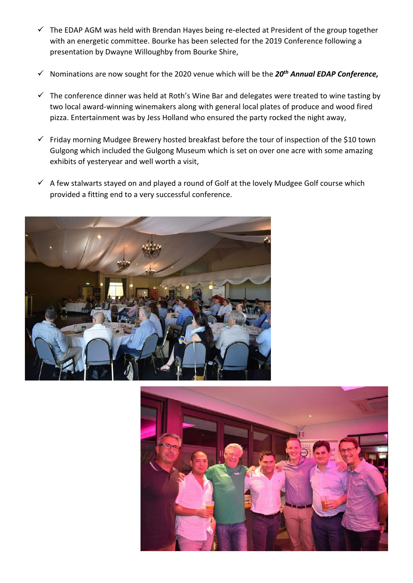- $\checkmark$  The EDAP AGM was held with Brendan Hayes being re-elected at President of the group together with an energetic committee. Bourke has been selected for the 2019 Conference following a presentation by Dwayne Willoughby from Bourke Shire,
- ✓ Nominations are now sought for the 2020 venue which will be the *20th Annual EDAP Conference,*
- $\checkmark$  The conference dinner was held at Roth's Wine Bar and delegates were treated to wine tasting by two local award-winning winemakers along with general local plates of produce and wood fired pizza. Entertainment was by Jess Holland who ensured the party rocked the night away,
- $\checkmark$  Friday morning Mudgee Brewery hosted breakfast before the tour of inspection of the \$10 town Gulgong which included the Gulgong Museum which is set on over one acre with some amazing exhibits of yesteryear and well worth a visit,
- $\checkmark$  A few stalwarts stayed on and played a round of Golf at the lovely Mudgee Golf course which provided a fitting end to a very successful conference.